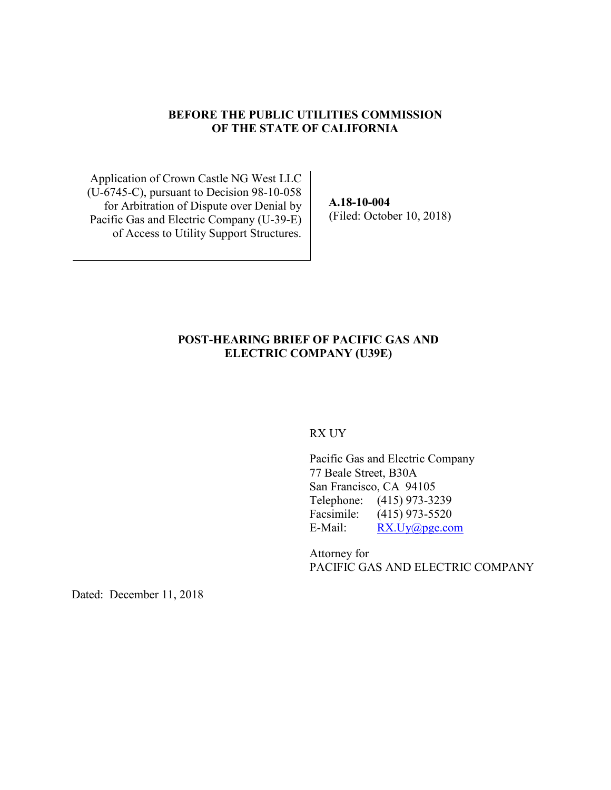#### **BEFORE THE PUBLIC UTILITIES COMMISSION OF THE STATE OF CALIFORNIA**

Application of Crown Castle NG West LLC (U-6745-C), pursuant to Decision 98-10-058 for Arbitration of Dispute over Denial by Pacific Gas and Electric Company (U-39-E) of Access to Utility Support Structures.

**A.18-10-004** (Filed: October 10, 2018)

## **POST-HEARING BRIEF OF PACIFIC GAS AND ELECTRIC COMPANY (U39E)**

RX UY

Pacific Gas and Electric Company 77 Beale Street, B30A San Francisco, CA 94105 Telephone: (415) 973-3239 Facsimile: (415) 973-5520 E-Mail: RX.Uy@pge.com

Attorney for PACIFIC GAS AND ELECTRIC COMPANY

Dated: December 11, 2018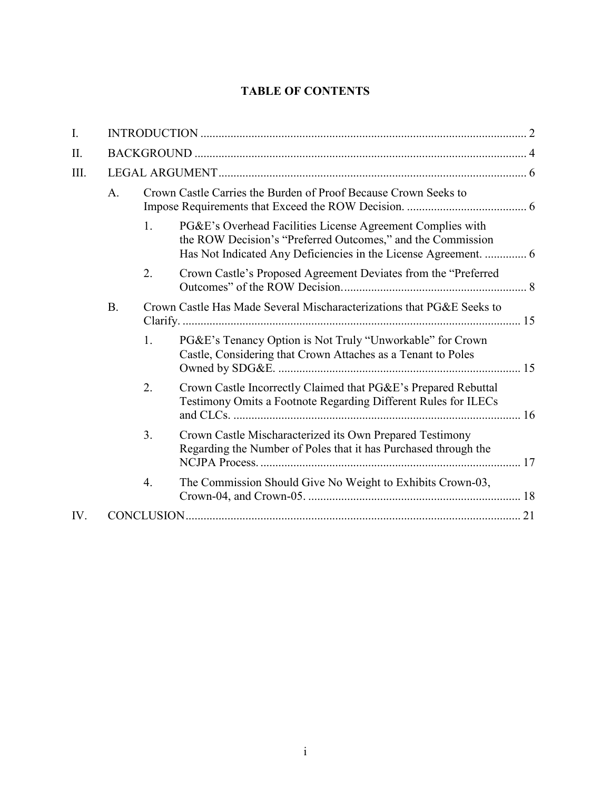## **TABLE OF CONTENTS**

| I.   |             |                                                                 |                                                                                                                                  |  |  |
|------|-------------|-----------------------------------------------------------------|----------------------------------------------------------------------------------------------------------------------------------|--|--|
| II.  |             |                                                                 |                                                                                                                                  |  |  |
| III. |             |                                                                 |                                                                                                                                  |  |  |
|      | $A_{\cdot}$ | Crown Castle Carries the Burden of Proof Because Crown Seeks to |                                                                                                                                  |  |  |
|      |             | 1.                                                              | PG&E's Overhead Facilities License Agreement Complies with<br>the ROW Decision's "Preferred Outcomes," and the Commission        |  |  |
|      |             | 2.                                                              | Crown Castle's Proposed Agreement Deviates from the "Preferred                                                                   |  |  |
|      | <b>B.</b>   |                                                                 | Crown Castle Has Made Several Mischaracterizations that PG&E Seeks to                                                            |  |  |
|      |             | 1.                                                              | PG&E's Tenancy Option is Not Truly "Unworkable" for Crown<br>Castle, Considering that Crown Attaches as a Tenant to Poles        |  |  |
|      |             | 2.                                                              | Crown Castle Incorrectly Claimed that PG&E's Prepared Rebuttal<br>Testimony Omits a Footnote Regarding Different Rules for ILECs |  |  |
|      |             | 3.                                                              | Crown Castle Mischaracterized its Own Prepared Testimony<br>Regarding the Number of Poles that it has Purchased through the      |  |  |
|      |             | $\overline{4}$ .                                                | The Commission Should Give No Weight to Exhibits Crown-03,                                                                       |  |  |
| IV.  |             |                                                                 |                                                                                                                                  |  |  |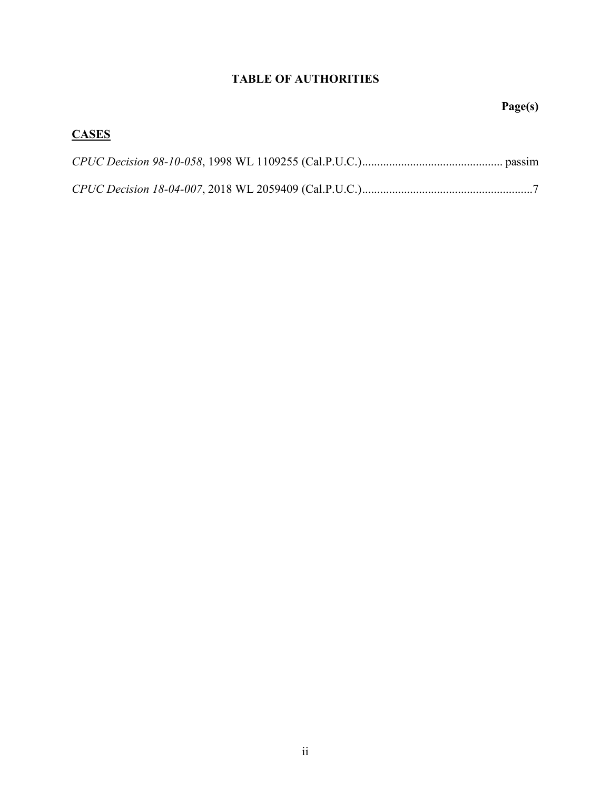## **TABLE OF AUTHORITIES**

# **Page(s)**

# **CASES**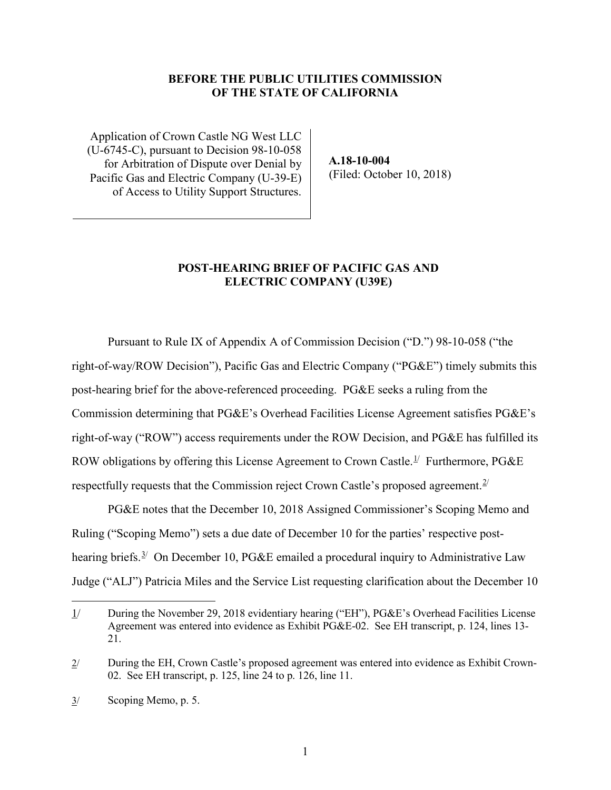#### **BEFORE THE PUBLIC UTILITIES COMMISSION OF THE STATE OF CALIFORNIA**

Application of Crown Castle NG West LLC (U-6745-C), pursuant to Decision 98-10-058 for Arbitration of Dispute over Denial by Pacific Gas and Electric Company (U-39-E) of Access to Utility Support Structures.

**A.18-10-004** (Filed: October 10, 2018)

#### **POST-HEARING BRIEF OF PACIFIC GAS AND ELECTRIC COMPANY (U39E)**

Pursuant to Rule IX of Appendix A of Commission Decision ("D.") 98-10-058 ("the right-of-way/ROW Decision"), Pacific Gas and Electric Company ("PG&E") timely submits this post-hearing brief for the above-referenced proceeding. PG&E seeks a ruling from the Commission determining that PG&E's Overhead Facilities License Agreement satisfies PG&E's right-of-way ("ROW") access requirements under the ROW Decision, and PG&E has fulfilled its ROW obligations by offering this License Agreement to Crown Castle.<sup>[1](#page-3-0)/</sup> Furthermore, PG&E respectfully requests that the Commission reject Crown Castle's proposed agreement.<sup>[2/](#page-3-1)</sup>

PG&E notes that the December 10, 2018 Assigned Commissioner's Scoping Memo and Ruling ("Scoping Memo") sets a due date of December 10 for the parties' respective post-hearing briefs.<sup>[3/](#page-3-2)</sup> On December 10, PG&E emailed a procedural inquiry to Administrative Law Judge ("ALJ") Patricia Miles and the Service List requesting clarification about the December 10

<span id="page-3-0"></span> $\overline{a}$ 1/ During the November 29, 2018 evidentiary hearing ("EH"), PG&E's Overhead Facilities License Agreement was entered into evidence as Exhibit PG&E-02. See EH transcript, p. 124, lines 13- 21.

<span id="page-3-1"></span><sup>2/</sup> During the EH, Crown Castle's proposed agreement was entered into evidence as Exhibit Crown-02. See EH transcript, p. 125, line 24 to p. 126, line 11.

<span id="page-3-2"></span><sup>3/</sup> Scoping Memo, p. 5.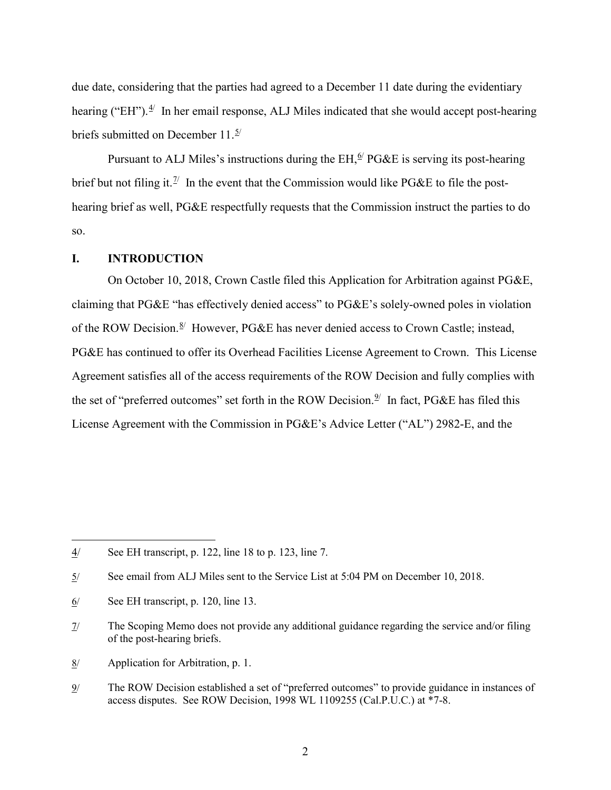due date, considering that the parties had agreed to a December 11 date during the evidentiary hearing ("EH"). $4$ <sup>'</sup> In her email response, ALJ Miles indicated that she would accept post-hearing briefs submitted on December 11. $\frac{5}{2}$ 

Pursuant to ALJ Miles's instructions during the  $EH, \frac{6}{7} PG\&E$  $EH, \frac{6}{7} PG\&E$  $EH, \frac{6}{7} PG\&E$  is serving its post-hearing brief but not filing it.<sup>1/</sup> In the event that the Commission would like PG&E to file the posthearing brief as well, PG&E respectfully requests that the Commission instruct the parties to do so.

#### <span id="page-4-0"></span>**I. INTRODUCTION**

On October 10, 2018, Crown Castle filed this Application for Arbitration against PG&E, claiming that PG&E "has effectively denied access" to PG&E's solely-owned poles in violation of the ROW Decision.<sup>[8/](#page-4-5)</sup> However, PG&E has never denied access to Crown Castle; instead, PG&E has continued to offer its Overhead Facilities License Agreement to Crown. This License Agreement satisfies all of the access requirements of the ROW Decision and fully complies with the set of "preferred outcomes" set forth in the ROW Decision.<sup>[9/](#page-4-6)</sup> In fact, PG&E has filed this License Agreement with the Commission in PG&E's Advice Letter ("AL") 2982-E, and the

- <span id="page-4-5"></span>8/ Application for Arbitration, p. 1.
- <span id="page-4-6"></span>9/ The ROW Decision established a set of "preferred outcomes" to provide guidance in instances of access disputes. See ROW Decision, 1998 WL 1109255 (Cal.P.U.C.) at \*7-8.

<span id="page-4-1"></span><sup>4/</sup> See EH transcript, p. 122, line 18 to p. 123, line 7.

<span id="page-4-2"></span><sup>5/</sup> See email from ALJ Miles sent to the Service List at 5:04 PM on December 10, 2018.

<span id="page-4-3"></span><sup>6/</sup> See EH transcript, p. 120, line 13.

<span id="page-4-4"></span><sup>7/</sup> The Scoping Memo does not provide any additional guidance regarding the service and/or filing of the post-hearing briefs.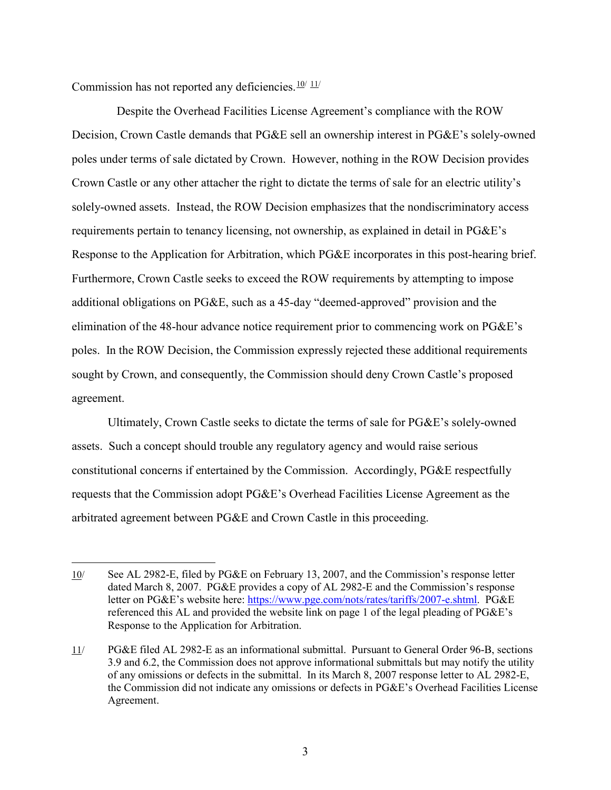Commission has not reported any deficiencies. $10/11/$  $10/11/$  $10/11/$  $10/11/$ 

 $\overline{a}$ 

 Despite the Overhead Facilities License Agreement's compliance with the ROW Decision, Crown Castle demands that PG&E sell an ownership interest in PG&E's solely-owned poles under terms of sale dictated by Crown. However, nothing in the ROW Decision provides Crown Castle or any other attacher the right to dictate the terms of sale for an electric utility's solely-owned assets. Instead, the ROW Decision emphasizes that the nondiscriminatory access requirements pertain to tenancy licensing, not ownership, as explained in detail in PG&E's Response to the Application for Arbitration, which PG&E incorporates in this post-hearing brief. Furthermore, Crown Castle seeks to exceed the ROW requirements by attempting to impose additional obligations on PG&E, such as a 45-day "deemed-approved" provision and the elimination of the 48-hour advance notice requirement prior to commencing work on PG&E's poles. In the ROW Decision, the Commission expressly rejected these additional requirements sought by Crown, and consequently, the Commission should deny Crown Castle's proposed agreement.

Ultimately, Crown Castle seeks to dictate the terms of sale for PG&E's solely-owned assets. Such a concept should trouble any regulatory agency and would raise serious constitutional concerns if entertained by the Commission. Accordingly, PG&E respectfully requests that the Commission adopt PG&E's Overhead Facilities License Agreement as the arbitrated agreement between PG&E and Crown Castle in this proceeding.

<span id="page-5-0"></span><sup>10/</sup> See AL 2982-E, filed by PG&E on February 13, 2007, and the Commission's response letter dated March 8, 2007. PG&E provides a copy of AL 2982-E and the Commission's response letter on PG&E's website here: [https://www.pge.com/nots/rates/tariffs/2007-e.shtml.](https://www.pge.com/nots/rates/tariffs/2007-e.shtml) PG&E referenced this AL and provided the website link on page 1 of the legal pleading of PG&E's Response to the Application for Arbitration.

<span id="page-5-1"></span><sup>11/</sup> PG&E filed AL 2982-E as an informational submittal. Pursuant to General Order 96-B, sections 3.9 and 6.2, the Commission does not approve informational submittals but may notify the utility of any omissions or defects in the submittal. In its March 8, 2007 response letter to AL 2982-E, the Commission did not indicate any omissions or defects in PG&E's Overhead Facilities License Agreement.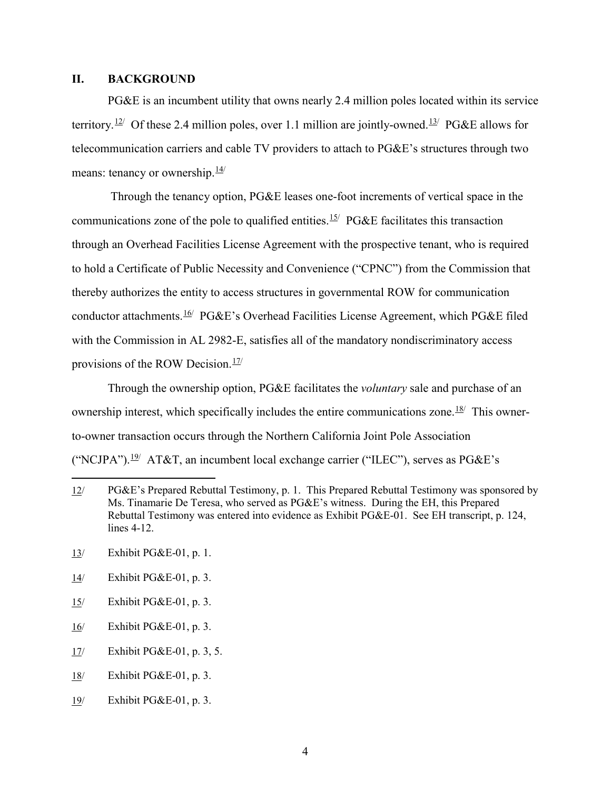#### <span id="page-6-0"></span>**II. BACKGROUND**

PG&E is an incumbent utility that owns nearly 2.4 million poles located within its service territory.<sup>[12](#page-6-1)/</sup> Of these 2.4 million poles, over 1.1 million are jointly-owned.<sup>[13](#page-6-2)/</sup> PG&E allows for telecommunication carriers and cable TV providers to attach to PG&E's structures through two means: tenancy or ownership. $\frac{14}{1}$ 

Through the tenancy option, PG&E leases one-foot increments of vertical space in the communications zone of the pole to qualified entities.<sup>[15/](#page-6-4)</sup> PG&E facilitates this transaction through an Overhead Facilities License Agreement with the prospective tenant, who is required to hold a Certificate of Public Necessity and Convenience ("CPNC") from the Commission that thereby authorizes the entity to access structures in governmental ROW for communication conductor attachments.<sup>[16](#page-6-5)</sup>/ PG&E's Overhead Facilities License Agreement, which PG&E filed with the Commission in AL 2982-E, satisfies all of the mandatory nondiscriminatory access provisions of the ROW Decision.<sup>[17](#page-6-6)/</sup>

Through the ownership option, PG&E facilitates the *voluntary* sale and purchase of an ownership interest, which specifically includes the entire communications zone.<sup>[18/](#page-6-7)</sup> This ownerto-owner transaction occurs through the Northern California Joint Pole Association ("NCJPA").<sup>[19/](#page-6-8)</sup> AT&T, an incumbent local exchange carrier ("ILEC"), serves as  $P G \& E$ 's

- <span id="page-6-3"></span>14/ Exhibit PG&E-01, p. 3.
- <span id="page-6-4"></span>15/ Exhibit PG&E-01, p. 3.
- <span id="page-6-5"></span>16/ Exhibit PG&E-01, p. 3.
- <span id="page-6-6"></span>17/ Exhibit PG&E-01, p. 3, 5.
- <span id="page-6-7"></span>18/ Exhibit PG&E-01, p. 3.
- <span id="page-6-8"></span>19/ Exhibit PG&E-01, p. 3.

<span id="page-6-1"></span><sup>12/</sup> PG&E's Prepared Rebuttal Testimony, p. 1. This Prepared Rebuttal Testimony was sponsored by Ms. Tinamarie De Teresa, who served as PG&E's witness. During the EH, this Prepared Rebuttal Testimony was entered into evidence as Exhibit PG&E-01. See EH transcript, p. 124, lines 4-12.

<span id="page-6-2"></span><sup>13/</sup> Exhibit PG&E-01, p. 1.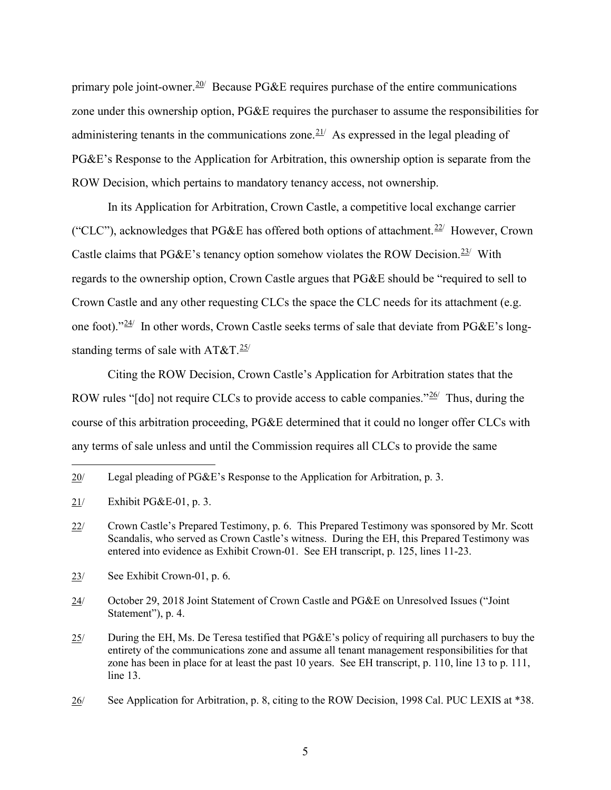primary pole joint-owner.<sup>[20](#page-7-0)/</sup> Because PG&E requires purchase of the entire communications zone under this ownership option, PG&E requires the purchaser to assume the responsibilities for administering tenants in the communications zone. $21/$  As expressed in the legal pleading of PG&E's Response to the Application for Arbitration, this ownership option is separate from the ROW Decision, which pertains to mandatory tenancy access, not ownership.

In its Application for Arbitration, Crown Castle, a competitive local exchange carrier ("CLC"), acknowledges that PG&E has offered both options of attachment.<sup>[22/](#page-7-2)</sup> However, Crown Castle claims that PG&E's tenancy option somehow violates the ROW Decision.<sup>[23](#page-7-3)/</sup> With regards to the ownership option, Crown Castle argues that PG&E should be "required to sell to Crown Castle and any other requesting CLCs the space the CLC needs for its attachment (e.g. one foot)."<sup>[24/](#page-7-4)</sup> In other words, Crown Castle seeks terms of sale that deviate from PG&E's longstanding terms of sale with  $AT&T.\frac{25}{ }$ 

Citing the ROW Decision, Crown Castle's Application for Arbitration states that the ROW rules "[do] not require CLCs to provide access to cable companies." $26/$  $26/$  Thus, during the course of this arbitration proceeding, PG&E determined that it could no longer offer CLCs with any terms of sale unless and until the Commission requires all CLCs to provide the same

- <span id="page-7-3"></span>23/ See Exhibit Crown-01, p. 6.
- <span id="page-7-4"></span>24/ October 29, 2018 Joint Statement of Crown Castle and PG&E on Unresolved Issues ("Joint Statement"), p. 4.
- <span id="page-7-5"></span>25/ During the EH, Ms. De Teresa testified that PG&E's policy of requiring all purchasers to buy the entirety of the communications zone and assume all tenant management responsibilities for that zone has been in place for at least the past 10 years. See EH transcript, p. 110, line 13 to p. 111, line 13.

<span id="page-7-0"></span><sup>20/</sup> Legal pleading of PG&E's Response to the Application for Arbitration, p. 3.

<span id="page-7-1"></span><sup>21/</sup> Exhibit PG&E-01, p. 3.

<span id="page-7-2"></span><sup>22/</sup> Crown Castle's Prepared Testimony, p. 6. This Prepared Testimony was sponsored by Mr. Scott Scandalis, who served as Crown Castle's witness. During the EH, this Prepared Testimony was entered into evidence as Exhibit Crown-01. See EH transcript, p. 125, lines 11-23.

<span id="page-7-6"></span><sup>26/</sup> See Application for Arbitration, p. 8, citing to the ROW Decision, 1998 Cal. PUC LEXIS at \*38.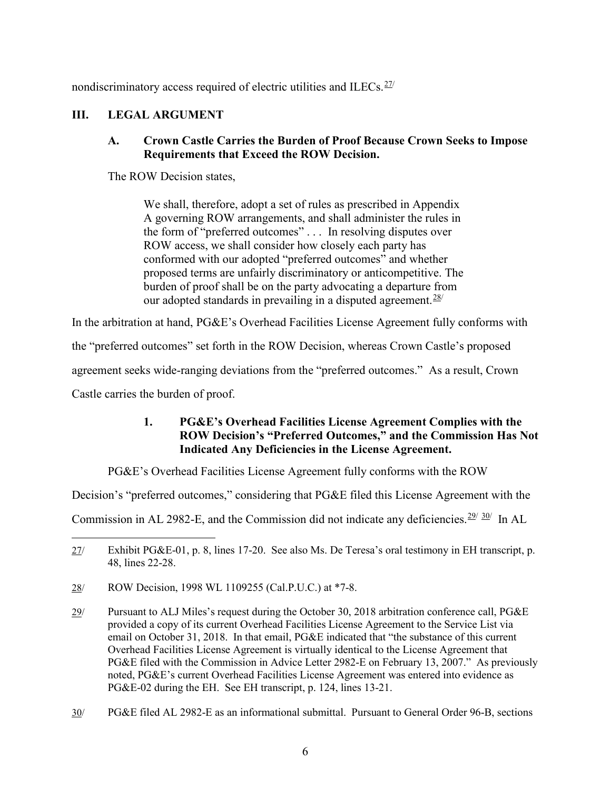nondiscriminatory access required of electric utilities and ILECs. $27/$  $27/$ 

## <span id="page-8-1"></span><span id="page-8-0"></span>**III. LEGAL ARGUMENT**

## **A. Crown Castle Carries the Burden of Proof Because Crown Seeks to Impose Requirements that Exceed the ROW Decision.**

The ROW Decision states,

We shall, therefore, adopt a set of rules as prescribed in Appendix A governing ROW arrangements, and shall administer the rules in the form of "preferred outcomes" . . . In resolving disputes over ROW access, we shall consider how closely each party has conformed with our adopted "preferred outcomes" and whether proposed terms are unfairly discriminatory or anticompetitive. The burden of proof shall be on the party advocating a departure from our adopted standards in prevailing in a disputed agreement.  $28/$  $28/$ 

In the arbitration at hand, PG&E's Overhead Facilities License Agreement fully conforms with

the "preferred outcomes" set forth in the ROW Decision, whereas Crown Castle's proposed

agreement seeks wide-ranging deviations from the "preferred outcomes." As a result, Crown

<span id="page-8-2"></span>Castle carries the burden of proof.

## **1. PG&E's Overhead Facilities License Agreement Complies with the ROW Decision's "Preferred Outcomes," and the Commission Has Not Indicated Any Deficiencies in the License Agreement.**

PG&E's Overhead Facilities License Agreement fully conforms with the ROW

Decision's "preferred outcomes," considering that PG&E filed this License Agreement with the

Commission in AL [29](#page-8-5)82-E, and the Commission did not indicate any deficiencies.  $29/30/$  $29/30/$  In AL

<span id="page-8-3"></span> $\overline{a}$ 27/ Exhibit PG&E-01, p. 8, lines 17-20. See also Ms. De Teresa's oral testimony in EH transcript, p. 48, lines 22-28.

<span id="page-8-4"></span><sup>28/</sup> ROW Decision, 1998 WL 1109255 (Cal.P.U.C.) at \*7-8.

<span id="page-8-5"></span><sup>29/</sup> Pursuant to ALJ Miles's request during the October 30, 2018 arbitration conference call, PG&E provided a copy of its current Overhead Facilities License Agreement to the Service List via email on October 31, 2018. In that email, PG&E indicated that "the substance of this current Overhead Facilities License Agreement is virtually identical to the License Agreement that PG&E filed with the Commission in Advice Letter 2982-E on February 13, 2007." As previously noted, PG&E's current Overhead Facilities License Agreement was entered into evidence as PG&E-02 during the EH. See EH transcript, p. 124, lines 13-21.

<span id="page-8-6"></span><sup>30/</sup> PG&E filed AL 2982-E as an informational submittal. Pursuant to General Order 96-B, sections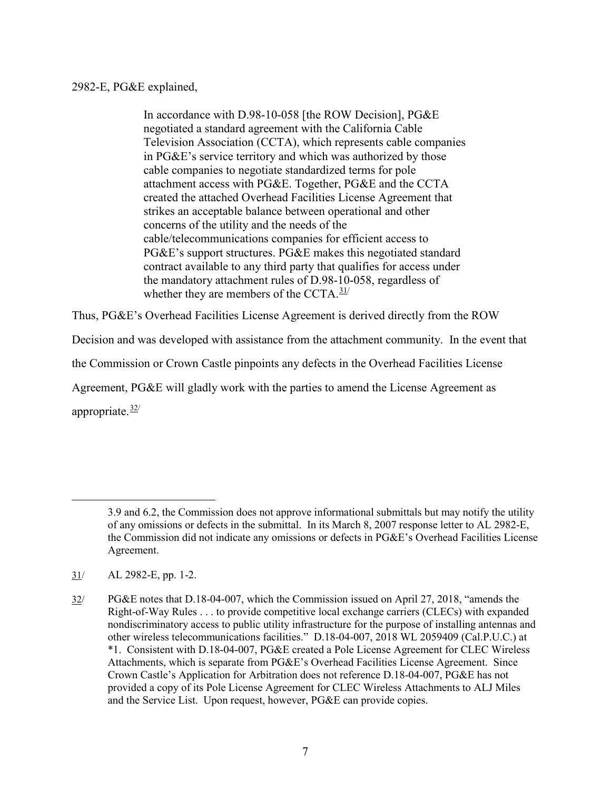## 2982-E, PG&E explained,

In accordance with D.98-10-058 [the ROW Decision], PG&E negotiated a standard agreement with the California Cable Television Association (CCTA), which represents cable companies in PG&E's service territory and which was authorized by those cable companies to negotiate standardized terms for pole attachment access with PG&E. Together, PG&E and the CCTA created the attached Overhead Facilities License Agreement that strikes an acceptable balance between operational and other concerns of the utility and the needs of the cable/telecommunications companies for efficient access to PG&E's support structures. PG&E makes this negotiated standard contract available to any third party that qualifies for access under the mandatory attachment rules of D.98-10-058, regardless of whether they are members of the CCTA. $31/$  $31/$ 

Thus, PG&E's Overhead Facilities License Agreement is derived directly from the ROW

Decision and was developed with assistance from the attachment community. In the event that

the Commission or Crown Castle pinpoints any defects in the Overhead Facilities License

Agreement, PG&E will gladly work with the parties to amend the License Agreement as

appropriate.<sup>[32](#page-9-1)/</sup>

<sup>3.9</sup> and 6.2, the Commission does not approve informational submittals but may notify the utility of any omissions or defects in the submittal. In its March 8, 2007 response letter to AL 2982-E, the Commission did not indicate any omissions or defects in PG&E's Overhead Facilities License Agreement.

<span id="page-9-0"></span> $31/$  AL 2982-E, pp. 1-2.

<span id="page-9-1"></span><sup>32/</sup> PG&E notes that D.18-04-007, which the Commission issued on April 27, 2018, "amends the Right-of-Way Rules . . . to provide competitive local exchange carriers (CLECs) with expanded nondiscriminatory access to public utility infrastructure for the purpose of installing antennas and other wireless telecommunications facilities." D.18-04-007, 2018 WL 2059409 (Cal.P.U.C.) at \*1. Consistent with D.18-04-007, PG&E created a Pole License Agreement for CLEC Wireless Attachments, which is separate from PG&E's Overhead Facilities License Agreement. Since Crown Castle's Application for Arbitration does not reference D.18-04-007, PG&E has not provided a copy of its Pole License Agreement for CLEC Wireless Attachments to ALJ Miles and the Service List. Upon request, however, PG&E can provide copies.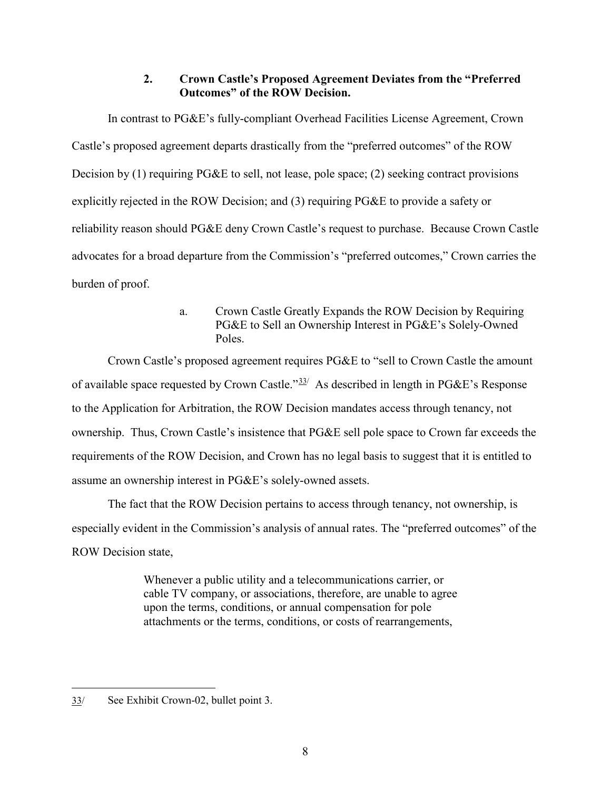## **2. Crown Castle's Proposed Agreement Deviates from the "Preferred Outcomes" of the ROW Decision.**

<span id="page-10-0"></span>In contrast to PG&E's fully-compliant Overhead Facilities License Agreement, Crown Castle's proposed agreement departs drastically from the "preferred outcomes" of the ROW Decision by (1) requiring PG&E to sell, not lease, pole space; (2) seeking contract provisions explicitly rejected in the ROW Decision; and (3) requiring PG&E to provide a safety or reliability reason should PG&E deny Crown Castle's request to purchase. Because Crown Castle advocates for a broad departure from the Commission's "preferred outcomes," Crown carries the burden of proof.

> a. Crown Castle Greatly Expands the ROW Decision by Requiring PG&E to Sell an Ownership Interest in PG&E's Solely-Owned Poles.

Crown Castle's proposed agreement requires PG&E to "sell to Crown Castle the amount of available space requested by Crown Castle." $33/2$  $33/2$  As described in length in PG&E's Response to the Application for Arbitration, the ROW Decision mandates access through tenancy, not ownership. Thus, Crown Castle's insistence that PG&E sell pole space to Crown far exceeds the requirements of the ROW Decision, and Crown has no legal basis to suggest that it is entitled to assume an ownership interest in PG&E's solely-owned assets.

The fact that the ROW Decision pertains to access through tenancy, not ownership, is especially evident in the Commission's analysis of annual rates. The "preferred outcomes" of the ROW Decision state,

> Whenever a public utility and a telecommunications carrier, or cable TV company, or associations, therefore, are unable to agree upon the terms, conditions, or annual compensation for pole attachments or the terms, conditions, or costs of rearrangements,

<span id="page-10-1"></span><sup>33/</sup> See Exhibit Crown-02, bullet point 3.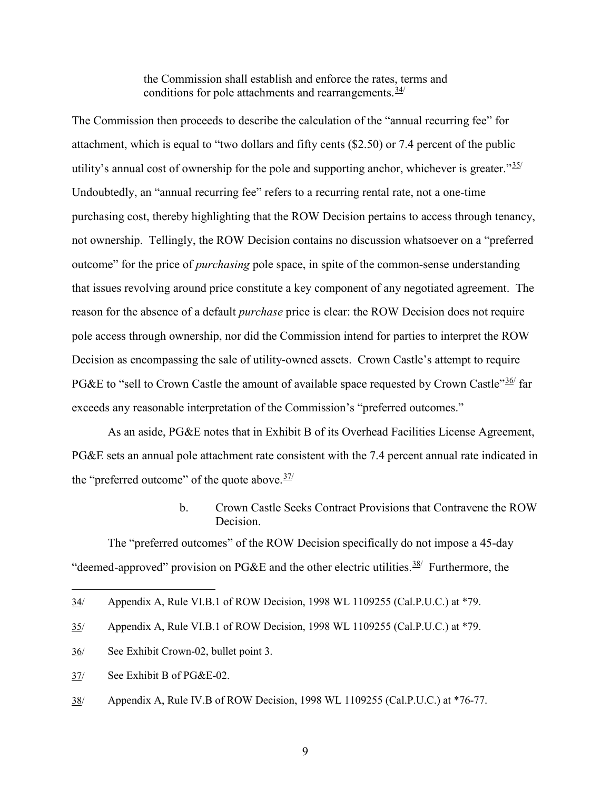the Commission shall establish and enforce the rates, terms and conditions for pole attachments and rearrangements. $34/$ 

The Commission then proceeds to describe the calculation of the "annual recurring fee" for attachment, which is equal to "two dollars and fifty cents (\$2.50) or 7.4 percent of the public utility's annual cost of ownership for the pole and supporting anchor, whichever is greater." $35/$ Undoubtedly, an "annual recurring fee" refers to a recurring rental rate, not a one-time purchasing cost, thereby highlighting that the ROW Decision pertains to access through tenancy, not ownership. Tellingly, the ROW Decision contains no discussion whatsoever on a "preferred outcome" for the price of *purchasing* pole space, in spite of the common-sense understanding that issues revolving around price constitute a key component of any negotiated agreement. The reason for the absence of a default *purchase* price is clear: the ROW Decision does not require pole access through ownership, nor did the Commission intend for parties to interpret the ROW Decision as encompassing the sale of utility-owned assets. Crown Castle's attempt to require PG&E to "sell to Crown Castle the amount of available space requested by Crown Castle"  $\frac{36}{16}$  far exceeds any reasonable interpretation of the Commission's "preferred outcomes."

 As an aside, PG&E notes that in Exhibit B of its Overhead Facilities License Agreement, PG&E sets an annual pole attachment rate consistent with the 7.4 percent annual rate indicated in the "preferred outcome" of the quote above.<sup>[37](#page-11-3)/</sup>

> b. Crown Castle Seeks Contract Provisions that Contravene the ROW **Decision**

The "preferred outcomes" of the ROW Decision specifically do not impose a 45-day "deemed-approved" provision on PG&E and the other electric utilities.<sup>[38/](#page-11-4)</sup> Furthermore, the

- <span id="page-11-2"></span>36/ See Exhibit Crown-02, bullet point 3.
- <span id="page-11-3"></span>37/ See Exhibit B of PG&E-02.

 $\overline{a}$ 

<span id="page-11-4"></span>38/ Appendix A, Rule IV.B of ROW Decision, 1998 WL 1109255 (Cal.P.U.C.) at \*76-77.

9

<span id="page-11-0"></span><sup>34/</sup> Appendix A, Rule VI.B.1 of ROW Decision, 1998 WL 1109255 (Cal.P.U.C.) at \*79.

<span id="page-11-1"></span><sup>35/</sup> Appendix A, Rule VI.B.1 of ROW Decision, 1998 WL 1109255 (Cal.P.U.C.) at \*79.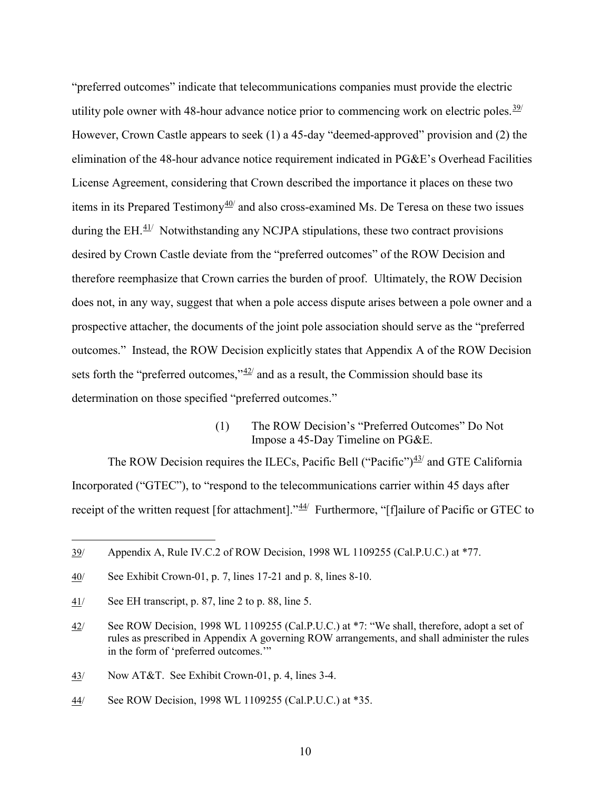"preferred outcomes" indicate that telecommunications companies must provide the electric utility pole owner with 48-hour advance notice prior to commencing work on electric poles.<sup>[39](#page-12-0)/</sup> However, Crown Castle appears to seek (1) a 45-day "deemed-approved" provision and (2) the elimination of the 48-hour advance notice requirement indicated in PG&E's Overhead Facilities License Agreement, considering that Crown described the importance it places on these two items in its Prepared Testimony $\frac{40}{1}$  $\frac{40}{1}$  $\frac{40}{1}$  and also cross-examined Ms. De Teresa on these two issues during the  $EH$ .  $41/$  Notwithstanding any NCJPA stipulations, these two contract provisions desired by Crown Castle deviate from the "preferred outcomes" of the ROW Decision and therefore reemphasize that Crown carries the burden of proof. Ultimately, the ROW Decision does not, in any way, suggest that when a pole access dispute arises between a pole owner and a prospective attacher, the documents of the joint pole association should serve as the "preferred outcomes." Instead, the ROW Decision explicitly states that Appendix A of the ROW Decision sets forth the "preferred outcomes," $42/$  $42/$  and as a result, the Commission should base its determination on those specified "preferred outcomes."

> (1) The ROW Decision's "Preferred Outcomes" Do Not Impose a 45-Day Timeline on PG&E.

The ROW Decision requires the ILECs, Pacific Bell ("Pacific")<sup>[43/](#page-12-4)</sup> and GTE California Incorporated ("GTEC"), to "respond to the telecommunications carrier within 45 days after receipt of the written request [for attachment]."<sup>[44/](#page-12-5)</sup> Furthermore, "[f]ailure of Pacific or GTEC to

<span id="page-12-0"></span><sup>39/</sup> Appendix A, Rule IV.C.2 of ROW Decision, 1998 WL 1109255 (Cal.P.U.C.) at \*77.

<span id="page-12-1"></span><sup>40/</sup> See Exhibit Crown-01, p. 7, lines 17-21 and p. 8, lines 8-10.

<span id="page-12-2"></span><sup>41/</sup> See EH transcript, p. 87, line 2 to p. 88, line 5.

<span id="page-12-3"></span><sup>42/</sup> See ROW Decision, 1998 WL 1109255 (Cal.P.U.C.) at \*7: "We shall, therefore, adopt a set of rules as prescribed in Appendix A governing ROW arrangements, and shall administer the rules in the form of 'preferred outcomes.'"

<span id="page-12-4"></span><sup>43/</sup> Now AT&T. See Exhibit Crown-01, p. 4, lines 3-4.

<span id="page-12-5"></span><sup>44/</sup> See ROW Decision, 1998 WL 1109255 (Cal.P.U.C.) at \*35.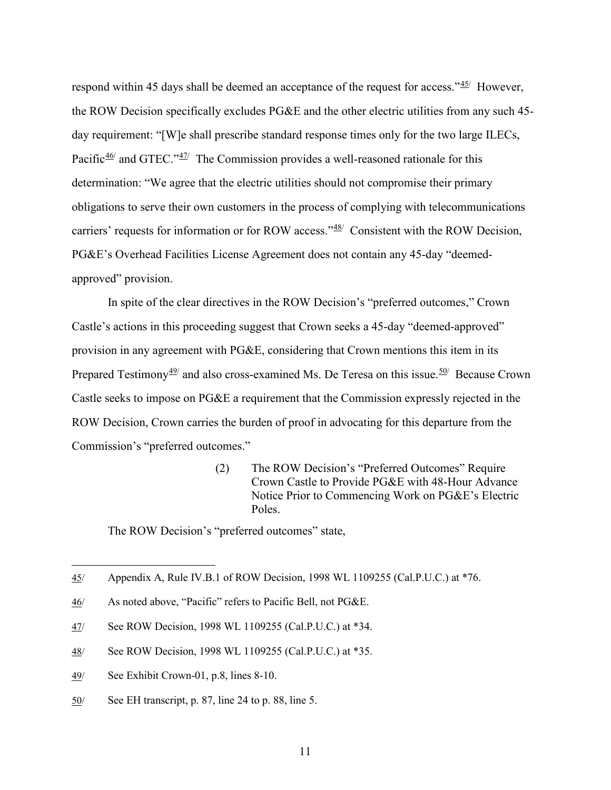respond within 45 days shall be deemed an acceptance of the request for access."<sup>[45/](#page-13-0)</sup> However, the ROW Decision specifically excludes PG&E and the other electric utilities from any such 45 day requirement: "[W]e shall prescribe standard response times only for the two large ILECs, Pacific $\frac{46}{ }$  $\frac{46}{ }$  $\frac{46}{ }$  and GTEC." $\frac{47}{ }$  The Commission provides a well-reasoned rationale for this determination: "We agree that the electric utilities should not compromise their primary obligations to serve their own customers in the process of complying with telecommunications carriers' requests for information or for ROW access."<sup>48</sup> Consistent with the ROW Decision, PG&E's Overhead Facilities License Agreement does not contain any 45-day "deemedapproved" provision.

In spite of the clear directives in the ROW Decision's "preferred outcomes," Crown Castle's actions in this proceeding suggest that Crown seeks a 45-day "deemed-approved" provision in any agreement with PG&E, considering that Crown mentions this item in its Prepared Testimony<sup>[49/](#page-13-4)</sup> and also cross-examined Ms. De Teresa on this issue.<sup>[50](#page-13-5)/</sup> Because Crown Castle seeks to impose on PG&E a requirement that the Commission expressly rejected in the ROW Decision, Crown carries the burden of proof in advocating for this departure from the Commission's "preferred outcomes."

> (2) The ROW Decision's "Preferred Outcomes" Require Crown Castle to Provide PG&E with 48-Hour Advance Notice Prior to Commencing Work on PG&E's Electric Poles.

The ROW Decision's "preferred outcomes" state,

- <span id="page-13-2"></span>47/ See ROW Decision, 1998 WL 1109255 (Cal.P.U.C.) at \*34.
- <span id="page-13-3"></span>48/ See ROW Decision, 1998 WL 1109255 (Cal.P.U.C.) at \*35.
- <span id="page-13-4"></span>49/ See Exhibit Crown-01, p.8, lines 8-10.

 $\overline{a}$ 

<span id="page-13-5"></span>50/ See EH transcript, p. 87, line 24 to p. 88, line 5.

<span id="page-13-0"></span><sup>45/</sup> Appendix A, Rule IV.B.1 of ROW Decision, 1998 WL 1109255 (Cal.P.U.C.) at \*76.

<span id="page-13-1"></span><sup>46/</sup> As noted above, "Pacific" refers to Pacific Bell, not PG&E.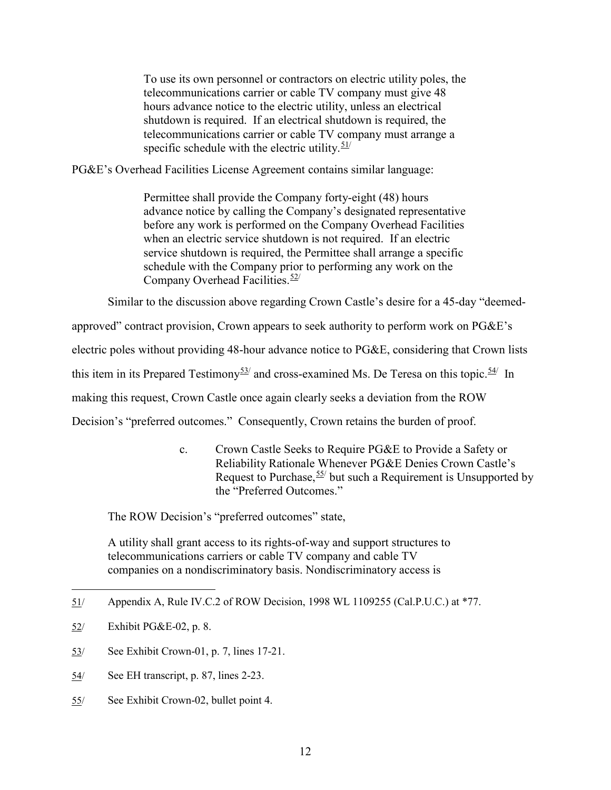To use its own personnel or contractors on electric utility poles, the telecommunications carrier or cable TV company must give 48 hours advance notice to the electric utility, unless an electrical shutdown is required. If an electrical shutdown is required, the telecommunications carrier or cable TV company must arrange a specific schedule with the electric utility. $51/$ 

PG&E's Overhead Facilities License Agreement contains similar language:

Permittee shall provide the Company forty-eight (48) hours advance notice by calling the Company's designated representative before any work is performed on the Company Overhead Facilities when an electric service shutdown is not required. If an electric service shutdown is required, the Permittee shall arrange a specific schedule with the Company prior to performing any work on the Company Overhead Facilities.<sup>[52](#page-14-1)/</sup>

Similar to the discussion above regarding Crown Castle's desire for a 45-day "deemed-

approved" contract provision, Crown appears to seek authority to perform work on PG&E's

electric poles without providing 48-hour advance notice to PG&E, considering that Crown lists

this item in its Prepared Testimony<sup>[53](#page-14-2)/</sup> and cross-examined Ms. De Teresa on this topic.<sup>[54](#page-14-3)/</sup> In

making this request, Crown Castle once again clearly seeks a deviation from the ROW

Decision's "preferred outcomes." Consequently, Crown retains the burden of proof.

c. Crown Castle Seeks to Require PG&E to Provide a Safety or Reliability Rationale Whenever PG&E Denies Crown Castle's Request to Purchase,  $55/$  but such a Requirement is Unsupported by the "Preferred Outcomes."

The ROW Decision's "preferred outcomes" state,

A utility shall grant access to its rights-of-way and support structures to telecommunications carriers or cable TV company and cable TV companies on a nondiscriminatory basis. Nondiscriminatory access is

- <span id="page-14-2"></span>53/ See Exhibit Crown-01, p. 7, lines 17-21.
- <span id="page-14-3"></span>54/ See EH transcript, p. 87, lines 2-23.
- <span id="page-14-4"></span>55/ See Exhibit Crown-02, bullet point 4.

<span id="page-14-0"></span><sup>51/</sup> Appendix A, Rule IV.C.2 of ROW Decision, 1998 WL 1109255 (Cal.P.U.C.) at \*77.

<span id="page-14-1"></span><sup>52/</sup> Exhibit PG&E-02, p. 8.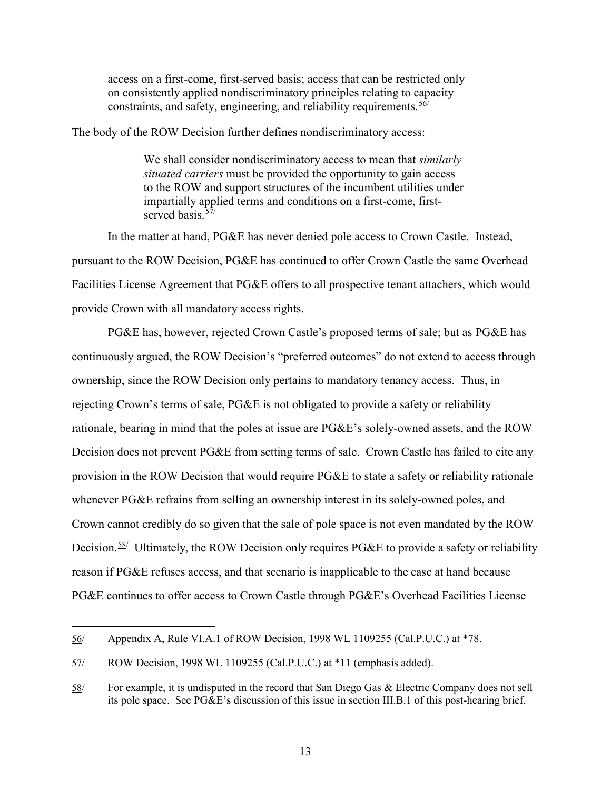access on a first-come, first-served basis; access that can be restricted only on consistently applied nondiscriminatory principles relating to capacity constraints, and safety, engineering, and reliability requirements.  $56/$ 

The body of the ROW Decision further defines nondiscriminatory access:

We shall consider nondiscriminatory access to mean that *similarly situated carriers* must be provided the opportunity to gain access to the ROW and support structures of the incumbent utilities under impartially applied terms and conditions on a first-come, firstserved basis  $\frac{57}{1}$ 

In the matter at hand, PG&E has never denied pole access to Crown Castle. Instead, pursuant to the ROW Decision, PG&E has continued to offer Crown Castle the same Overhead Facilities License Agreement that PG&E offers to all prospective tenant attachers, which would provide Crown with all mandatory access rights.

PG&E has, however, rejected Crown Castle's proposed terms of sale; but as PG&E has continuously argued, the ROW Decision's "preferred outcomes" do not extend to access through ownership, since the ROW Decision only pertains to mandatory tenancy access. Thus, in rejecting Crown's terms of sale, PG&E is not obligated to provide a safety or reliability rationale, bearing in mind that the poles at issue are PG&E's solely-owned assets, and the ROW Decision does not prevent PG&E from setting terms of sale. Crown Castle has failed to cite any provision in the ROW Decision that would require PG&E to state a safety or reliability rationale whenever PG&E refrains from selling an ownership interest in its solely-owned poles, and Crown cannot credibly do so given that the sale of pole space is not even mandated by the ROW Decision.<sup>[58](#page-15-2)/</sup> Ultimately, the ROW Decision only requires PG&E to provide a safety or reliability reason if PG&E refuses access, and that scenario is inapplicable to the case at hand because PG&E continues to offer access to Crown Castle through PG&E's Overhead Facilities License

<span id="page-15-0"></span><sup>56/</sup> Appendix A, Rule VI.A.1 of ROW Decision, 1998 WL 1109255 (Cal.P.U.C.) at \*78.

<span id="page-15-1"></span><sup>57/</sup> ROW Decision, 1998 WL 1109255 (Cal.P.U.C.) at \*11 (emphasis added).

<span id="page-15-2"></span><sup>58/</sup> For example, it is undisputed in the record that San Diego Gas & Electric Company does not sell its pole space. See PG&E's discussion of this issue in section III.B.1 of this post-hearing brief.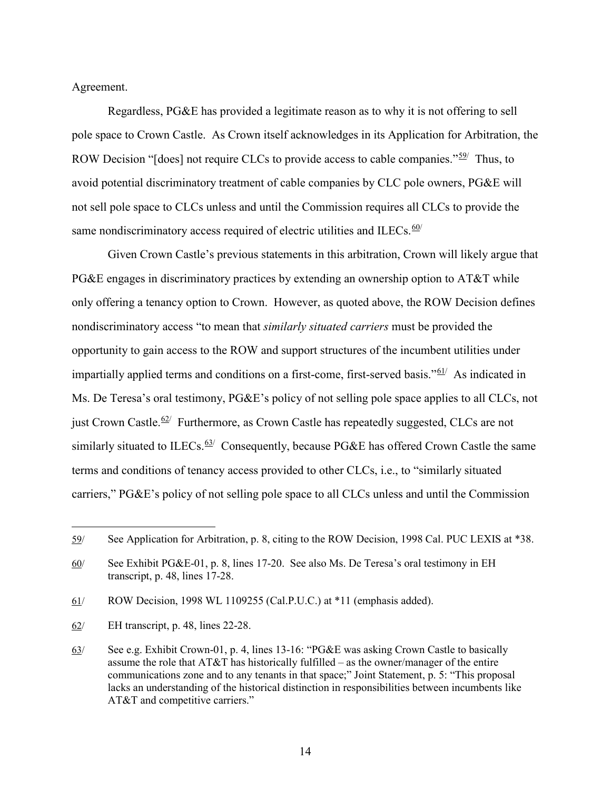#### Agreement.

Regardless, PG&E has provided a legitimate reason as to why it is not offering to sell pole space to Crown Castle. As Crown itself acknowledges in its Application for Arbitration, the ROW Decision "[does] not require CLCs to provide access to cable companies." $\frac{59}{7}$  Thus, to avoid potential discriminatory treatment of cable companies by CLC pole owners, PG&E will not sell pole space to CLCs unless and until the Commission requires all CLCs to provide the same nondiscriminatory access required of electric utilities and ILECs. $60/$ 

Given Crown Castle's previous statements in this arbitration, Crown will likely argue that PG&E engages in discriminatory practices by extending an ownership option to AT&T while only offering a tenancy option to Crown. However, as quoted above, the ROW Decision defines nondiscriminatory access "to mean that *similarly situated carriers* must be provided the opportunity to gain access to the ROW and support structures of the incumbent utilities under impartially applied terms and conditions on a first-come, first-served basis."<sup>[61](#page-16-2)</sup> As indicated in Ms. De Teresa's oral testimony, PG&E's policy of not selling pole space applies to all CLCs, not just Crown Castle.<sup>[62/](#page-16-3)</sup> Furthermore, as Crown Castle has repeatedly suggested, CLCs are not similarly situated to ILECs.  $63/$  $63/$  Consequently, because PG&E has offered Crown Castle the same terms and conditions of tenancy access provided to other CLCs, i.e., to "similarly situated carriers," PG&E's policy of not selling pole space to all CLCs unless and until the Commission

<span id="page-16-2"></span>61/ ROW Decision, 1998 WL 1109255 (Cal.P.U.C.) at \*11 (emphasis added).

<span id="page-16-3"></span>62/ EH transcript, p. 48, lines 22-28.

<span id="page-16-0"></span><sup>59/</sup> See Application for Arbitration, p. 8, citing to the ROW Decision, 1998 Cal. PUC LEXIS at \*38.

<span id="page-16-1"></span><sup>60/</sup> See Exhibit PG&E-01, p. 8, lines 17-20. See also Ms. De Teresa's oral testimony in EH transcript, p. 48, lines 17-28.

<span id="page-16-4"></span><sup>63/</sup> See e.g. Exhibit Crown-01, p. 4, lines 13-16: "PG&E was asking Crown Castle to basically assume the role that  $AT&TT$  has historically fulfilled – as the owner/manager of the entire communications zone and to any tenants in that space;" Joint Statement, p. 5: "This proposal lacks an understanding of the historical distinction in responsibilities between incumbents like AT&T and competitive carriers."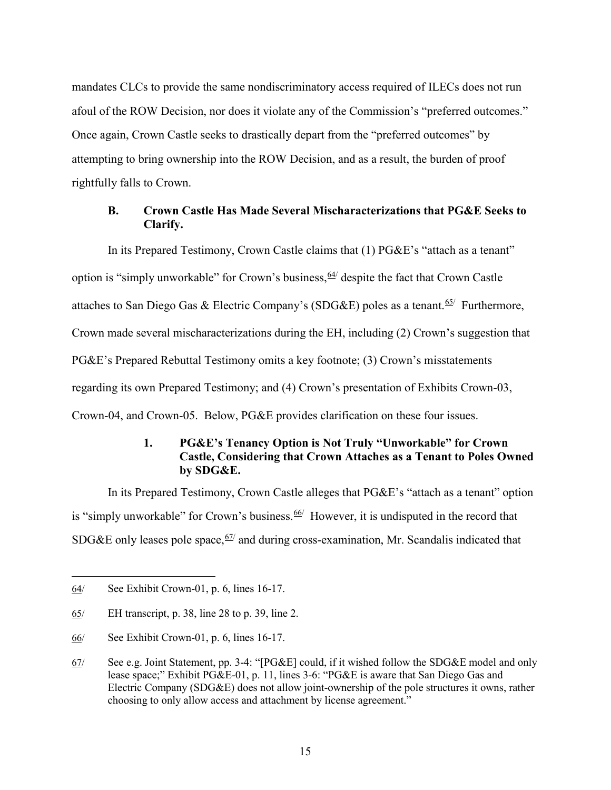mandates CLCs to provide the same nondiscriminatory access required of ILECs does not run afoul of the ROW Decision, nor does it violate any of the Commission's "preferred outcomes." Once again, Crown Castle seeks to drastically depart from the "preferred outcomes" by attempting to bring ownership into the ROW Decision, and as a result, the burden of proof rightfully falls to Crown.

#### <span id="page-17-0"></span>**B. Crown Castle Has Made Several Mischaracterizations that PG&E Seeks to Clarify.**

In its Prepared Testimony, Crown Castle claims that (1) PG&E's "attach as a tenant" option is "simply unworkable" for Crown's business,  $\frac{64}{7}$  $\frac{64}{7}$  $\frac{64}{7}$  despite the fact that Crown Castle attaches to San Diego Gas & Electric Company's (SDG&E) poles as a tenant.  $65/$  $65/$  Furthermore, Crown made several mischaracterizations during the EH, including (2) Crown's suggestion that PG&E's Prepared Rebuttal Testimony omits a key footnote; (3) Crown's misstatements regarding its own Prepared Testimony; and (4) Crown's presentation of Exhibits Crown-03, Crown-04, and Crown-05. Below, PG&E provides clarification on these four issues.

## **1. PG&E's Tenancy Option is Not Truly "Unworkable" for Crown Castle, Considering that Crown Attaches as a Tenant to Poles Owned by SDG&E.**

<span id="page-17-1"></span>In its Prepared Testimony, Crown Castle alleges that PG&E's "attach as a tenant" option is "simply unworkable" for Crown's business.  $66/$  However, it is undisputed in the record that SDG&E only leases pole space,  $67/$  and during cross-examination, Mr. Scandalis indicated that

<span id="page-17-2"></span><sup>64/</sup> See Exhibit Crown-01, p. 6, lines 16-17.

<span id="page-17-3"></span><sup>65/</sup> EH transcript, p. 38, line 28 to p. 39, line 2.

<span id="page-17-4"></span><sup>66/</sup> See Exhibit Crown-01, p. 6, lines 16-17.

<span id="page-17-5"></span><sup>67/</sup> See e.g. Joint Statement, pp. 3-4: "[PG&E] could, if it wished follow the SDG&E model and only lease space;" Exhibit PG&E-01, p. 11, lines 3-6: "PG&E is aware that San Diego Gas and Electric Company (SDG&E) does not allow joint-ownership of the pole structures it owns, rather choosing to only allow access and attachment by license agreement."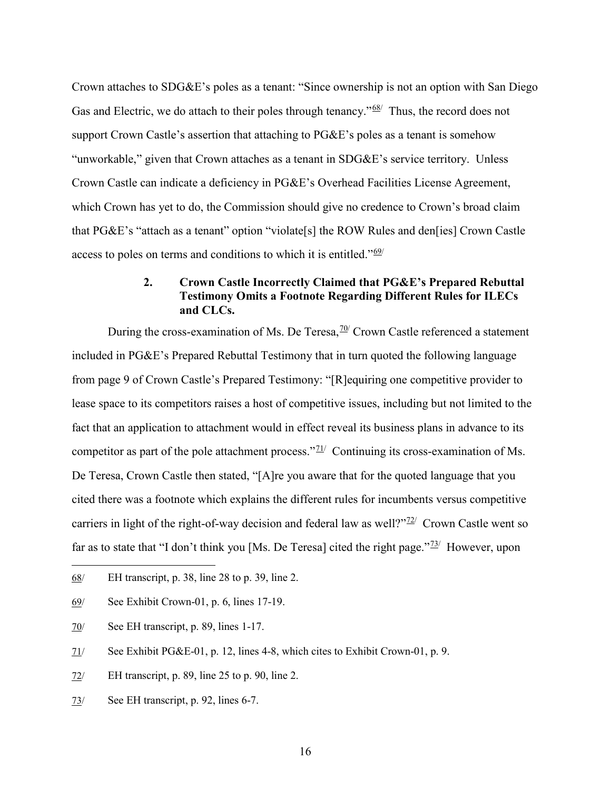Crown attaches to SDG&E's poles as a tenant: "Since ownership is not an option with San Diego Gas and Electric, we do attach to their poles through tenancy." $68$  Thus, the record does not support Crown Castle's assertion that attaching to PG&E's poles as a tenant is somehow "unworkable," given that Crown attaches as a tenant in SDG&E's service territory. Unless Crown Castle can indicate a deficiency in PG&E's Overhead Facilities License Agreement, which Crown has yet to do, the Commission should give no credence to Crown's broad claim that PG&E's "attach as a tenant" option "violate[s] the ROW Rules and den[ies] Crown Castle access to poles on terms and conditions to which it is entitled." $69/$ 

#### **2. Crown Castle Incorrectly Claimed that PG&E's Prepared Rebuttal Testimony Omits a Footnote Regarding Different Rules for ILECs and CLCs.**

<span id="page-18-0"></span>During the cross-examination of Ms. De Teresa,  $\frac{70}{}{ }$  Crown Castle referenced a statement included in PG&E's Prepared Rebuttal Testimony that in turn quoted the following language from page 9 of Crown Castle's Prepared Testimony: "[R]equiring one competitive provider to lease space to its competitors raises a host of competitive issues, including but not limited to the fact that an application to attachment would in effect reveal its business plans in advance to its competitor as part of the pole attachment process." $\frac{71}{1}$  Continuing its cross-examination of Ms. De Teresa, Crown Castle then stated, "[A]re you aware that for the quoted language that you cited there was a footnote which explains the different rules for incumbents versus competitive carriers in light of the right-of-way decision and federal law as well? $\frac{72}{2}$  Crown Castle went so far as to state that "I don't think you [Ms. De Teresa] cited the right page." $\frac{73}{12}$  $\frac{73}{12}$  $\frac{73}{12}$  However, upon

 $\overline{a}$ 

<span id="page-18-6"></span>73/ See EH transcript, p. 92, lines 6-7.

<span id="page-18-1"></span><sup>68/</sup> EH transcript, p. 38, line 28 to p. 39, line 2.

<span id="page-18-2"></span><sup>69/</sup> See Exhibit Crown-01, p. 6, lines 17-19.

<span id="page-18-3"></span><sup>70/</sup> See EH transcript, p. 89, lines 1-17.

<span id="page-18-4"></span><sup>71/</sup> See Exhibit PG&E-01, p. 12, lines 4-8, which cites to Exhibit Crown-01, p. 9.

<span id="page-18-5"></span><sup>72/</sup> EH transcript, p. 89, line 25 to p. 90, line 2.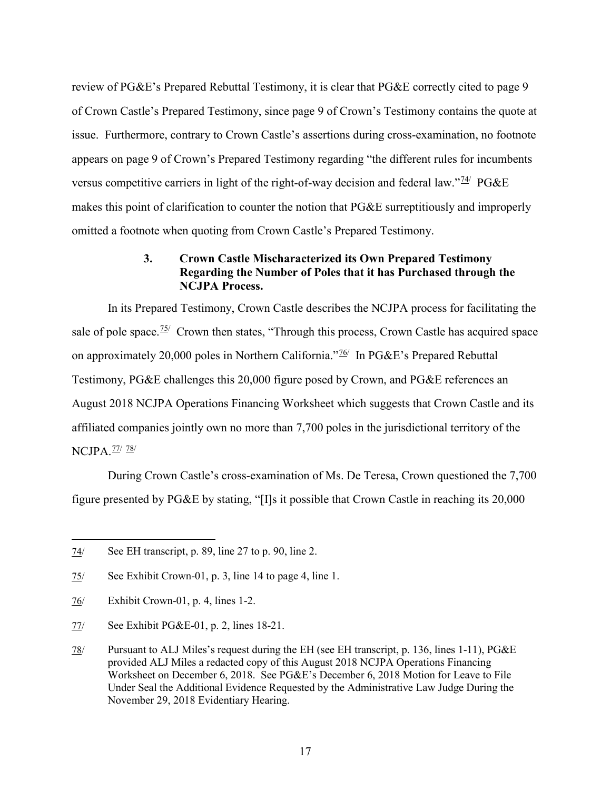review of PG&E's Prepared Rebuttal Testimony, it is clear that PG&E correctly cited to page 9 of Crown Castle's Prepared Testimony, since page 9 of Crown's Testimony contains the quote at issue. Furthermore, contrary to Crown Castle's assertions during cross-examination, no footnote appears on page 9 of Crown's Prepared Testimony regarding "the different rules for incumbents versus competitive carriers in light of the right-of-way decision and federal law." $\frac{74}{7}$  PG&E makes this point of clarification to counter the notion that PG&E surreptitiously and improperly omitted a footnote when quoting from Crown Castle's Prepared Testimony.

#### **3. Crown Castle Mischaracterized its Own Prepared Testimony Regarding the Number of Poles that it has Purchased through the NCJPA Process.**

<span id="page-19-0"></span>In its Prepared Testimony, Crown Castle describes the NCJPA process for facilitating the sale of pole space.<sup> $75/$ </sup> Crown then states, "Through this process, Crown Castle has acquired space on approximately 20,000 poles in Northern California."<sup>[76](#page-19-3)/</sup> In PG&E's Prepared Rebuttal Testimony, PG&E challenges this 20,000 figure posed by Crown, and PG&E references an August 2018 NCJPA Operations Financing Worksheet which suggests that Crown Castle and its affiliated companies jointly own no more than 7,700 poles in the jurisdictional territory of the NCJPA.<sup>[77](#page-19-4)/</sup> [78](#page-19-5)/

During Crown Castle's cross-examination of Ms. De Teresa, Crown questioned the 7,700 figure presented by PG&E by stating, "[I]s it possible that Crown Castle in reaching its 20,000

<span id="page-19-1"></span><sup>74/</sup> See EH transcript, p. 89, line 27 to p. 90, line 2.

<span id="page-19-2"></span><sup>75/</sup> See Exhibit Crown-01, p. 3, line 14 to page 4, line 1.

<span id="page-19-3"></span><sup>76/</sup> Exhibit Crown-01, p. 4, lines 1-2.

<span id="page-19-4"></span><sup>77/</sup> See Exhibit PG&E-01, p. 2, lines 18-21.

<span id="page-19-5"></span><sup>78/</sup> Pursuant to ALJ Miles's request during the EH (see EH transcript, p. 136, lines 1-11), PG&E provided ALJ Miles a redacted copy of this August 2018 NCJPA Operations Financing Worksheet on December 6, 2018. See PG&E's December 6, 2018 Motion for Leave to File Under Seal the Additional Evidence Requested by the Administrative Law Judge During the November 29, 2018 Evidentiary Hearing.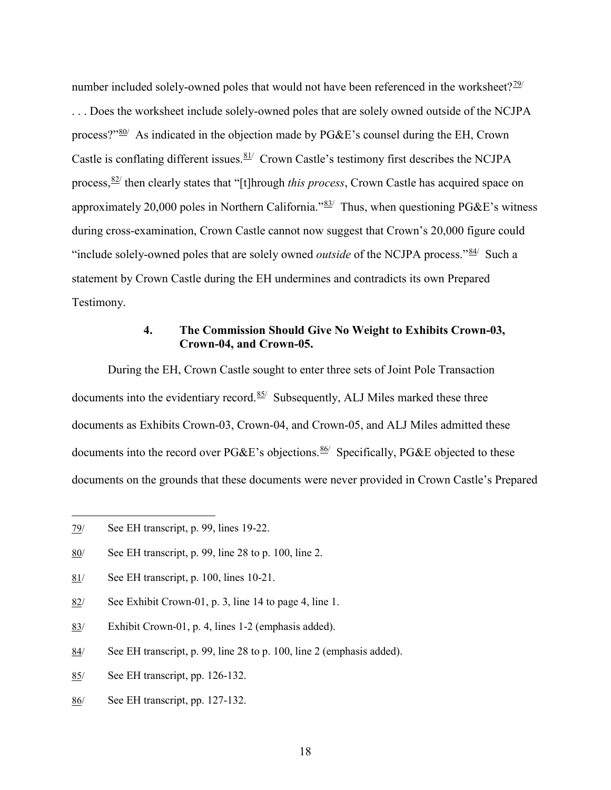number included solely-owned poles that would not have been referenced in the worksheet? $\frac{79}{ }$ . . . Does the worksheet include solely-owned poles that are solely owned outside of the NCJPA process?" $80'$  $80'$  As indicated in the objection made by PG&E's counsel during the EH, Crown Castle is conflating different issues.  $81/$  $81/$  Crown Castle's testimony first describes the NCJPA process,[82/](#page-20-4) then clearly states that "[t]hrough *this process*, Crown Castle has acquired space on approximately 20,000 poles in Northern California." $83/$  $83/$  Thus, when questioning PG&E's witness during cross-examination, Crown Castle cannot now suggest that Crown's 20,000 figure could "include solely-owned poles that are solely owned *outside* of the NCJPA process."<sup>[84](#page-20-6)/</sup> Such a statement by Crown Castle during the EH undermines and contradicts its own Prepared Testimony.

#### **4. The Commission Should Give No Weight to Exhibits Crown-03, Crown-04, and Crown-05.**

<span id="page-20-0"></span>During the EH, Crown Castle sought to enter three sets of Joint Pole Transaction documents into the evidentiary record.  $85/$  Subsequently, ALJ Miles marked these three documents as Exhibits Crown-03, Crown-04, and Crown-05, and ALJ Miles admitted these documents into the record over PG&E's objections.  $86/$  Specifically, PG&E objected to these documents on the grounds that these documents were never provided in Crown Castle's Prepared

 $\overline{a}$ 

- <span id="page-20-4"></span>82/ See Exhibit Crown-01, p. 3, line 14 to page 4, line 1.
- <span id="page-20-5"></span>83/ Exhibit Crown-01, p. 4, lines 1-2 (emphasis added).
- <span id="page-20-6"></span>84/ See EH transcript, p. 99, line 28 to p. 100, line 2 (emphasis added).
- <span id="page-20-7"></span>85/ See EH transcript, pp. 126-132.
- <span id="page-20-8"></span>86/ See EH transcript, pp. 127-132.

18

<span id="page-20-1"></span><sup>79/</sup> See EH transcript, p. 99, lines 19-22.

<span id="page-20-2"></span><sup>80/</sup> See EH transcript, p. 99, line 28 to p. 100, line 2.

<span id="page-20-3"></span><sup>81/</sup> See EH transcript, p. 100, lines 10-21.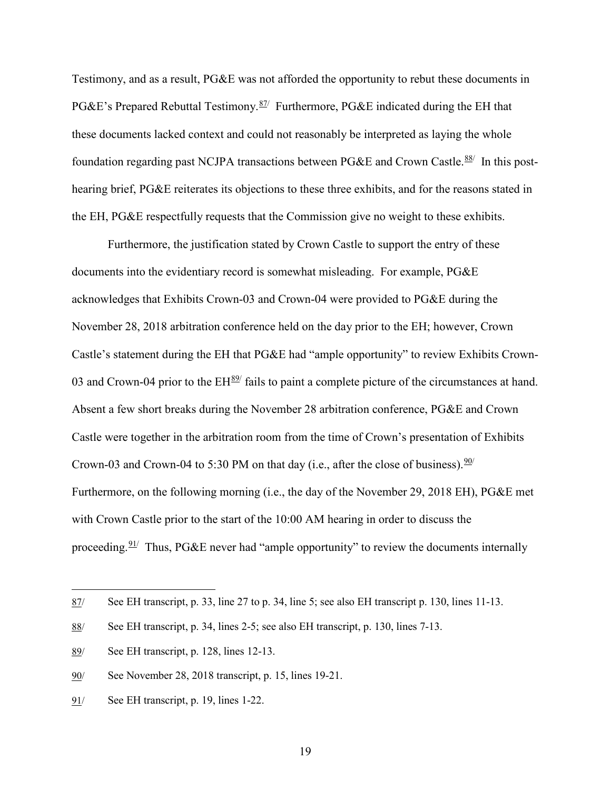Testimony, and as a result, PG&E was not afforded the opportunity to rebut these documents in PG&E's Prepared Rebuttal Testimony.<sup>[87/](#page-21-0)</sup> Furthermore, PG&E indicated during the EH that these documents lacked context and could not reasonably be interpreted as laying the whole foundation regarding past NCJPA transactions between PG&E and Crown Castle.<sup>[88/](#page-21-1)</sup> In this posthearing brief, PG&E reiterates its objections to these three exhibits, and for the reasons stated in the EH, PG&E respectfully requests that the Commission give no weight to these exhibits.

Furthermore, the justification stated by Crown Castle to support the entry of these documents into the evidentiary record is somewhat misleading. For example, PG&E acknowledges that Exhibits Crown-03 and Crown-04 were provided to PG&E during the November 28, 2018 arbitration conference held on the day prior to the EH; however, Crown Castle's statement during the EH that PG&E had "ample opportunity" to review Exhibits Crown-03 and Crown-04 prior to the  $EH<sup>89</sup>$  $EH<sup>89</sup>$  $EH<sup>89</sup>$  fails to paint a complete picture of the circumstances at hand. Absent a few short breaks during the November 28 arbitration conference, PG&E and Crown Castle were together in the arbitration room from the time of Crown's presentation of Exhibits Crown-03 and Crown-04 to 5:30 PM on that day (i.e., after the close of business).  $\frac{90}{ }$  $\frac{90}{ }$  $\frac{90}{ }$ Furthermore, on the following morning (i.e., the day of the November 29, 2018 EH), PG&E met with Crown Castle prior to the start of the 10:00 AM hearing in order to discuss the proceeding.  $91/$  $91/$  Thus, PG&E never had "ample opportunity" to review the documents internally

 $\overline{a}$ 

19

<span id="page-21-0"></span><sup>87/</sup> See EH transcript, p. 33, line 27 to p. 34, line 5; see also EH transcript p. 130, lines 11-13.

<span id="page-21-1"></span><sup>88/</sup> See EH transcript, p. 34, lines 2-5; see also EH transcript, p. 130, lines 7-13.

<span id="page-21-2"></span><sup>89/</sup> See EH transcript, p. 128, lines 12-13.

<span id="page-21-3"></span><sup>90/</sup> See November 28, 2018 transcript, p. 15, lines 19-21.

<span id="page-21-4"></span><sup>91/</sup> See EH transcript, p. 19, lines 1-22.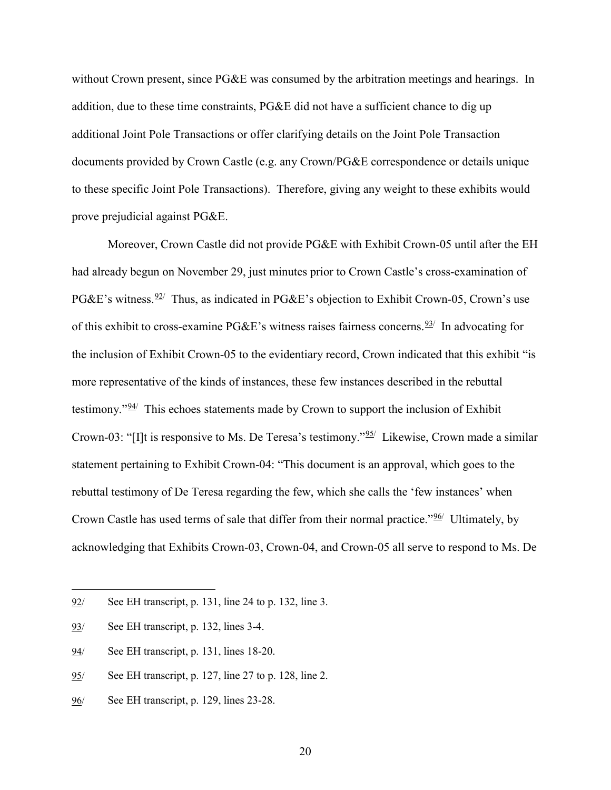without Crown present, since PG&E was consumed by the arbitration meetings and hearings. In addition, due to these time constraints, PG&E did not have a sufficient chance to dig up additional Joint Pole Transactions or offer clarifying details on the Joint Pole Transaction documents provided by Crown Castle (e.g. any Crown/PG&E correspondence or details unique to these specific Joint Pole Transactions). Therefore, giving any weight to these exhibits would prove prejudicial against PG&E.

Moreover, Crown Castle did not provide PG&E with Exhibit Crown-05 until after the EH had already begun on November 29, just minutes prior to Crown Castle's cross-examination of PG&E's witness.  $\frac{92}{7}$  $\frac{92}{7}$  $\frac{92}{7}$  Thus, as indicated in PG&E's objection to Exhibit Crown-05, Crown's use of this exhibit to cross-examine PG&E's witness raises fairness concerns.<sup>[93](#page-22-1)/</sup> In advocating for the inclusion of Exhibit Crown-05 to the evidentiary record, Crown indicated that this exhibit "is more representative of the kinds of instances, these few instances described in the rebuttal testimony." $94$ <sup>/</sup> This echoes statements made by Crown to support the inclusion of Exhibit Crown-03: "[I]t is responsive to Ms. De Teresa's testimony."<sup>[95/](#page-22-3)</sup> Likewise, Crown made a similar statement pertaining to Exhibit Crown-04: "This document is an approval, which goes to the rebuttal testimony of De Teresa regarding the few, which she calls the 'few instances' when Crown Castle has used terms of sale that differ from their normal practice."<sup>96</sup>/ Ultimately, by acknowledging that Exhibits Crown-03, Crown-04, and Crown-05 all serve to respond to Ms. De

 $\overline{a}$ 

<span id="page-22-2"></span>94/ See EH transcript, p. 131, lines 18-20.

<span id="page-22-0"></span><sup>92/</sup> See EH transcript, p. 131, line 24 to p. 132, line 3.

<span id="page-22-1"></span><sup>93/</sup> See EH transcript, p. 132, lines 3-4.

<span id="page-22-3"></span><sup>95/</sup> See EH transcript, p. 127, line 27 to p. 128, line 2.

<span id="page-22-4"></span><sup>96/</sup> See EH transcript, p. 129, lines 23-28.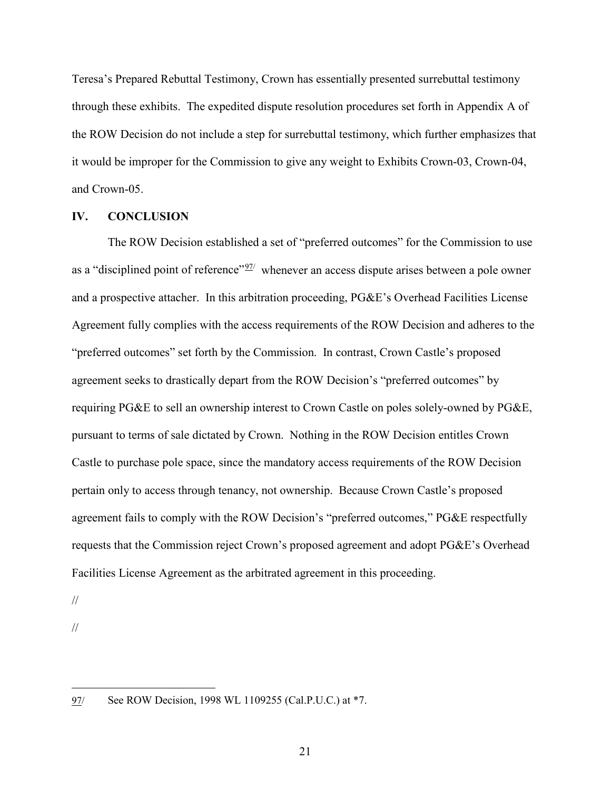Teresa's Prepared Rebuttal Testimony, Crown has essentially presented surrebuttal testimony through these exhibits. The expedited dispute resolution procedures set forth in Appendix A of the ROW Decision do not include a step for surrebuttal testimony, which further emphasizes that it would be improper for the Commission to give any weight to Exhibits Crown-03, Crown-04, and Crown-05.

#### <span id="page-23-0"></span>**IV. CONCLUSION**

The ROW Decision established a set of "preferred outcomes" for the Commission to use as a "disciplined point of reference"  $\frac{97}{1}$  whenever an access dispute arises between a pole owner and a prospective attacher. In this arbitration proceeding, PG&E's Overhead Facilities License Agreement fully complies with the access requirements of the ROW Decision and adheres to the "preferred outcomes" set forth by the Commission. In contrast, Crown Castle's proposed agreement seeks to drastically depart from the ROW Decision's "preferred outcomes" by requiring PG&E to sell an ownership interest to Crown Castle on poles solely-owned by PG&E, pursuant to terms of sale dictated by Crown. Nothing in the ROW Decision entitles Crown Castle to purchase pole space, since the mandatory access requirements of the ROW Decision pertain only to access through tenancy, not ownership. Because Crown Castle's proposed agreement fails to comply with the ROW Decision's "preferred outcomes," PG&E respectfully requests that the Commission reject Crown's proposed agreement and adopt PG&E's Overhead Facilities License Agreement as the arbitrated agreement in this proceeding.

//

//

<span id="page-23-1"></span><sup>97/</sup> See ROW Decision, 1998 WL 1109255 (Cal.P.U.C.) at \*7.